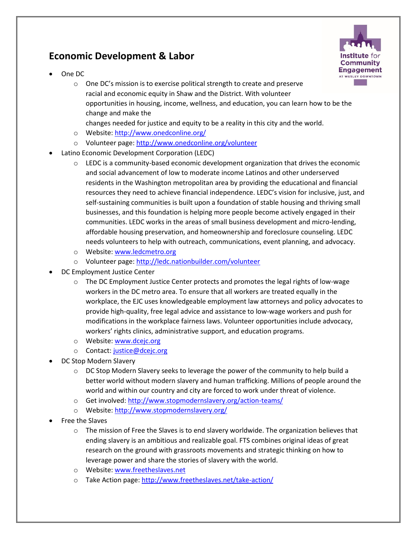## **Economic Development & Labor**





- o One DC's mission is to exercise political strength to create and preserve racial and economic equity in Shaw and the District. With volunteer opportunities in housing, income, wellness, and education, you can learn how to be the change and make the
	- changes needed for justice and equity to be a reality in this city and the world.
- o Website[: http://www.onedconline.org/](http://www.onedconline.org/)
- o Volunteer page:<http://www.onedconline.org/volunteer>
- Latino Economic Development Corporation (LEDC)
	- $\circ$  LEDC is a community-based economic development organization that drives the economic and social advancement of low to moderate income Latinos and other underserved residents in the Washington metropolitan area by providing the educational and financial resources they need to achieve financial independence. LEDC's vision for inclusive, just, and self-sustaining communities is built upon a foundation of stable housing and thriving small businesses, and this foundation is helping more people become actively engaged in their communities. LEDC works in the areas of small business development and micro-lending, affordable housing preservation, and homeownership and foreclosure counseling. LEDC needs volunteers to help with outreach, communications, event planning, and advocacy.
	- o Website[: www.ledcmetro.org](http://www.ledcmetro.org/)
	- o Volunteer page:<http://ledc.nationbuilder.com/volunteer>
- DC Employment Justice Center
	- $\circ$  The DC Employment Justice Center protects and promotes the legal rights of low-wage workers in the DC metro area. To ensure that all workers are treated equally in the workplace, the EJC uses knowledgeable employment law attorneys and policy advocates to provide high-quality, free legal advice and assistance to low-wage workers and push for modifications in the workplace fairness laws. Volunteer opportunities include advocacy, workers' rights clinics, administrative support, and education programs.
	- o Website[: www.dcejc.org](http://www.dcejc.org/)
	- o Contact: [justice@dcejc.org](mailto:justice@dcejc.org)
- DC Stop Modern Slavery
	- $\circ$  DC Stop Modern Slavery seeks to leverage the power of the community to help build a better world without modern slavery and human trafficking. Millions of people around the world and within our country and city are forced to work under threat of violence.
	- o Get involved:<http://www.stopmodernslavery.org/action-teams/>
	- o Website[: http://www.stopmodernslavery.org/](http://www.stopmodernslavery.org/)
- Free the Slaves
	- $\circ$  The mission of Free the Slaves is to end slavery worldwide. The organization believes that ending slavery is an ambitious and realizable goal. FTS combines original ideas of great research on the ground with grassroots movements and strategic thinking on how to leverage power and share the stories of slavery with the world.
	- o Website[: www.freetheslaves.net](http://www.freetheslaves.net/)
	- o Take Action page:<http://www.freetheslaves.net/take-action/>